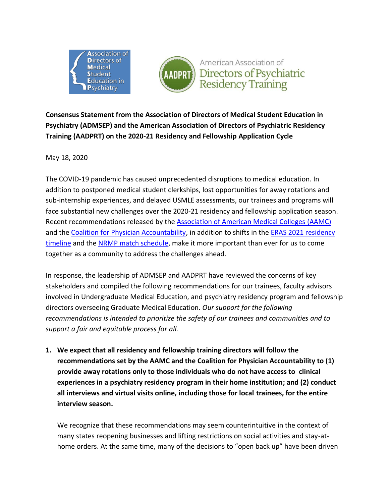



**Consensus Statement from the Association of Directors of Medical Student Education in Psychiatry (ADMSEP) and the American Association of Directors of Psychiatric Residency Training (AADPRT) on the 2020-21 Residency and Fellowship Application Cycle**

May 18, 2020

The COVID-19 pandemic has caused unprecedented disruptions to medical education. In addition to postponed medical student clerkships, lost opportunities for away rotations and sub-internship experiences, and delayed USMLE assessments, our trainees and programs will face substantial new challenges over the 2020-21 residency and fellowship application season. Recent recommendations released by the [Association of American Medical Colleges](https://www.aamc.org/what-we-do/mission-areas/medical-education/conducting-interviews-during-coronavirus-pandemic) (AAMC) and the [Coalition for Physician Accountability,](https://www.aamc.org/system/files/2020-05/covid19_Final_Recommendations_Executive%20Summary_Final_05112020.pdf) in addition to shifts in the [ERAS 2021 residency](https://students-residents.aamc.org/applying-residency/article/eras-timeline-applicants/)  [timeline](https://students-residents.aamc.org/applying-residency/article/eras-timeline-applicants/) and the [NRMP match schedule,](https://mk0nrmp3oyqui6wqfm.kinstacdn.com/wp-content/uploads/2020/03/2021-Main-Residency-Match-Detailed-Calendar.pdf) make it more important than ever for us to come together as a community to address the challenges ahead.

In response, the leadership of ADMSEP and AADPRT have reviewed the concerns of key stakeholders and compiled the following recommendations for our trainees, faculty advisors involved in Undergraduate Medical Education, and psychiatry residency program and fellowship directors overseeing Graduate Medical Education. *Our support for the following recommendations is intended to prioritize the safety of our trainees and communities and to support a fair and equitable process for all.*

**1. We expect that all residency and fellowship training directors will follow the recommendations set by the AAMC and the Coalition for Physician Accountability to (1) provide away rotations only to those individuals who do not have access to clinical experiences in a psychiatry residency program in their home institution; and (2) conduct all interviews and virtual visits online, including those for local trainees, for the entire interview season.**

We recognize that these recommendations may seem counterintuitive in the context of many states reopening businesses and lifting restrictions on social activities and stay-athome orders. At the same time, many of the decisions to "open back up" have been driven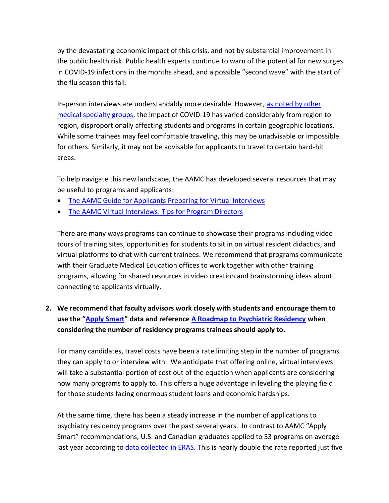by the devastating economic impact of this crisis, and not by substantial improvement in the public health risk. Public health experts continue to warn of the potential for new surges in COVID-19 infections in the months ahead, and a possible "second wave" with the start of the flu season this fall.

In-person interviews are understandably more desirable. However, as noted by other [medical specialty groups,](https://students-residents.aamc.org/applying-residency/article/specialty-response-covid-19/) the impact of COVID-19 has varied considerably from region to region, disproportionally affecting students and programs in certain geographic locations. While some trainees may feel comfortable traveling, this may be unadvisable or impossible for others. Similarly, it may not be advisable for applicants to travel to certain hard-hit areas.

To help navigate this new landscape, the AAMC has developed several resources that may be useful to programs and applicants:

- [The AAMC Guide for Applicants Preparing for Virtual Interviews](https://www.aamc.org/system/files/2020-05/Virtual_Interview_Tips_for_Applicants_05072020_1.pdf)
- [The AAMC Virtual Interviews: Tips for Program Directors](https://www.aamc.org/system/files/2020-05/Virtual_Interview_Tips_for_Program_Directors_05072020_1.pdf)

There are many ways programs can continue to showcase their programs including video tours of training sites, opportunities for students to sit in on virtual resident didactics, and virtual platforms to chat with current trainees. We recommend that programs communicate with their Graduate Medical Education offices to work together with other training programs, allowing for shared resources in video creation and brainstorming ideas about connecting to applicants virtually.

## **2. We recommend that faculty advisors work closely with students and encourage them to use the "[Apply Smart](https://students-residents.aamc.org/applying-residency/filteredresult/apply-smart-data-consider-when-applying-residency/)" data and reference A [Roadmap to Psychiatric Residency](https://www.psychiatry.org/residents-medical-students/medical-students/apply-for-psychiatric-residency) when considering the number of residency programs trainees should apply to.**

For many candidates, travel costs have been a rate limiting step in the number of programs they can apply to or interview with. We anticipate that offering online, virtual interviews will take a substantial portion of cost out of the equation when applicants are considering how many programs to apply to. This offers a huge advantage in leveling the playing field for those students facing enormous student loans and economic hardships.

At the same time, there has been a steady increase in the number of applications to psychiatry residency programs over the past several years. In contrast to AAMC "Apply Smart" recommendations, U.S. and Canadian graduates applied to 53 programs on average last year according to [data collected in ERAS.](https://www.aamc.org/eras-statistics-2019) This is nearly double the rate reported just five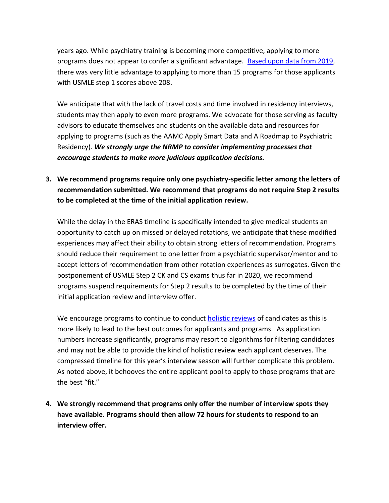years ago. While psychiatry training is becoming more competitive, applying to more programs does not appear to confer a significant advantage. [Based upon data from 2019,](https://students-residents.aamc.org/applying-residency/filteredresult/apply-smart-data-consider-when-applying-residency/) there was very little advantage to applying to more than 15 programs for those applicants with USMLE step 1 scores above 208.

We anticipate that with the lack of travel costs and time involved in residency interviews, students may then apply to even more programs. We advocate for those serving as faculty advisors to educate themselves and students on the available data and resources for applying to programs (such as the AAMC Apply Smart Data and A Roadmap to Psychiatric Residency). *We strongly urge the NRMP to consider implementing processes that encourage students to make more judicious application decisions.*

**3. We recommend programs require only one psychiatry-specific letter among the letters of recommendation submitted. We recommend that programs do not require Step 2 results to be completed at the time of the initial application review.** 

While the delay in the ERAS timeline is specifically intended to give medical students an opportunity to catch up on missed or delayed rotations, we anticipate that these modified experiences may affect their ability to obtain strong letters of recommendation. Programs should reduce their requirement to one letter from a psychiatric supervisor/mentor and to accept letters of recommendation from other rotation experiences as surrogates. Given the postponement of USMLE Step 2 CK and CS exams thus far in 2020, we recommend programs suspend requirements for Step 2 results to be completed by the time of their initial application review and interview offer.

We encourage programs to continue to conduct [holistic reviews](https://www.aamc.org/services/member-capacity-building/holistic-review) of candidates as this is more likely to lead to the best outcomes for applicants and programs. As application numbers increase significantly, programs may resort to algorithms for filtering candidates and may not be able to provide the kind of holistic review each applicant deserves. The compressed timeline for this year's interview season will further complicate this problem. As noted above, it behooves the entire applicant pool to apply to those programs that are the best "fit."

**4. We strongly recommend that programs only offer the number of interview spots they have available. Programs should then allow 72 hours for students to respond to an interview offer.**